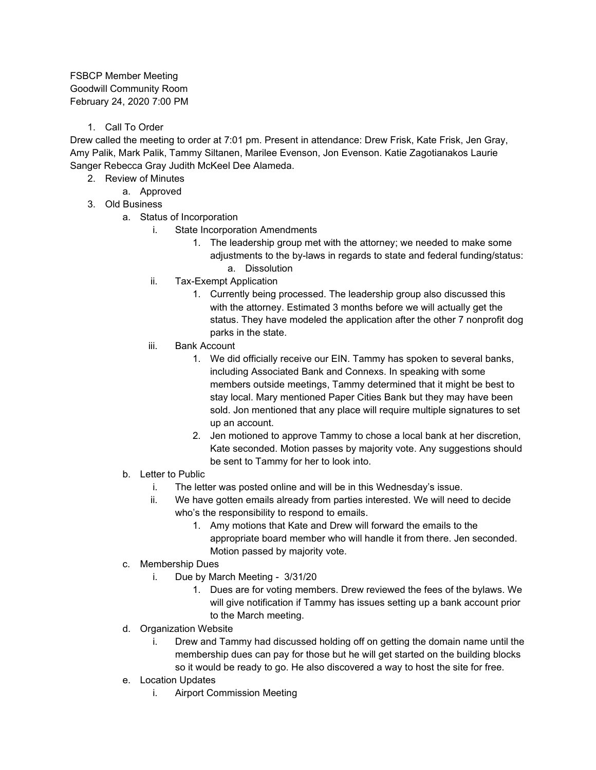FSBCP Member Meeting Goodwill Community Room February 24, 2020 7:00 PM

1. Call To Order

Drew called the meeting to order at 7:01 pm. Present in attendance: Drew Frisk, Kate Frisk, Jen Gray, Amy Palik, Mark Palik, Tammy Siltanen, Marilee Evenson, Jon Evenson. Katie Zagotianakos Laurie Sanger Rebecca Gray Judith McKeel Dee Alameda.

- 2. Review of Minutes
	- a. Approved
- 3. Old Business
	- a. Status of Incorporation
		- i. State Incorporation Amendments
			- 1. The leadership group met with the attorney; we needed to make some adjustments to the by-laws in regards to state and federal funding/status: a. Dissolution
			-
		- ii. Tax-Exempt Application
			- 1. Currently being processed. The leadership group also discussed this with the attorney. Estimated 3 months before we will actually get the status. They have modeled the application after the other 7 nonprofit dog parks in the state.
		- iii. Bank Account
			- 1. We did officially receive our EIN. Tammy has spoken to several banks, including Associated Bank and Connexs. In speaking with some members outside meetings, Tammy determined that it might be best to stay local. Mary mentioned Paper Cities Bank but they may have been sold. Jon mentioned that any place will require multiple signatures to set up an account.
			- 2. Jen motioned to approve Tammy to chose a local bank at her discretion, Kate seconded. Motion passes by majority vote. Any suggestions should be sent to Tammy for her to look into.
	- b. Letter to Public
		- i. The letter was posted online and will be in this Wednesday's issue.
		- ii. We have gotten emails already from parties interested. We will need to decide who's the responsibility to respond to emails.
			- 1. Amy motions that Kate and Drew will forward the emails to the appropriate board member who will handle it from there. Jen seconded. Motion passed by majority vote.
	- c. Membership Dues
		- i. Due by March Meeting 3/31/20
			- 1. Dues are for voting members. Drew reviewed the fees of the bylaws. We will give notification if Tammy has issues setting up a bank account prior to the March meeting.
	- d. Organization Website
		- i. Drew and Tammy had discussed holding off on getting the domain name until the membership dues can pay for those but he will get started on the building blocks so it would be ready to go. He also discovered a way to host the site for free.
	- e. Location Updates
		- i. Airport Commission Meeting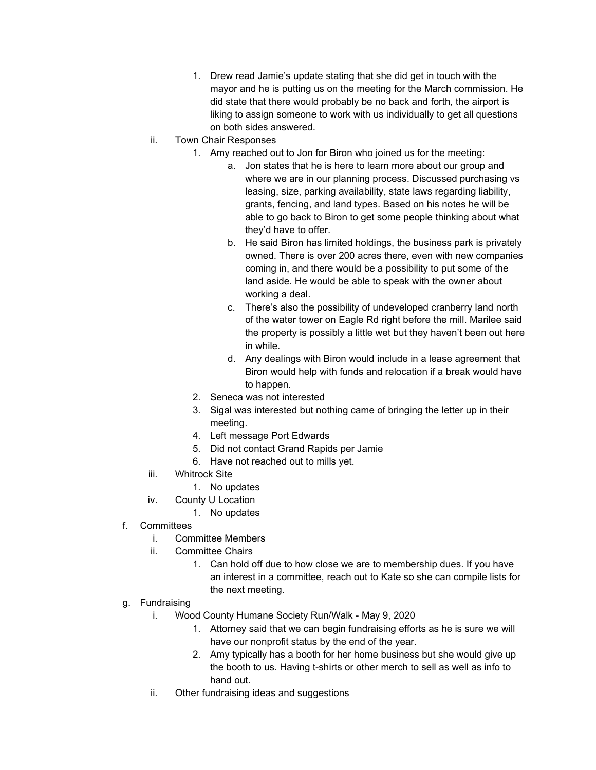- 1. Drew read Jamie's update stating that she did get in touch with the mayor and he is putting us on the meeting for the March commission. He did state that there would probably be no back and forth, the airport is liking to assign someone to work with us individually to get all questions on both sides answered.
- ii. Town Chair Responses
	- 1. Amy reached out to Jon for Biron who joined us for the meeting:
		- a. Jon states that he is here to learn more about our group and where we are in our planning process. Discussed purchasing vs leasing, size, parking availability, state laws regarding liability, grants, fencing, and land types. Based on his notes he will be able to go back to Biron to get some people thinking about what they'd have to offer.
		- b. He said Biron has limited holdings, the business park is privately owned. There is over 200 acres there, even with new companies coming in, and there would be a possibility to put some of the land aside. He would be able to speak with the owner about working a deal.
		- c. There's also the possibility of undeveloped cranberry land north of the water tower on Eagle Rd right before the mill. Marilee said the property is possibly a little wet but they haven't been out here in while.
		- d. Any dealings with Biron would include in a lease agreement that Biron would help with funds and relocation if a break would have to happen.
	- 2. Seneca was not interested
	- 3. Sigal was interested but nothing came of bringing the letter up in their meeting.
	- 4. Left message Port Edwards
	- 5. Did not contact Grand Rapids per Jamie
	- 6. Have not reached out to mills yet.
- iii. Whitrock Site
	- 1. No updates
- iv. County U Location
	- 1. No updates
- f. Committees
	- i. Committee Members
	- ii. Committee Chairs
		- 1. Can hold off due to how close we are to membership dues. If you have an interest in a committee, reach out to Kate so she can compile lists for the next meeting.
- g. Fundraising
	- i. Wood County Humane Society Run/Walk May 9, 2020
		- 1. Attorney said that we can begin fundraising efforts as he is sure we will have our nonprofit status by the end of the year.
		- 2. Amy typically has a booth for her home business but she would give up the booth to us. Having t-shirts or other merch to sell as well as info to hand out.
	- ii. Other fundraising ideas and suggestions